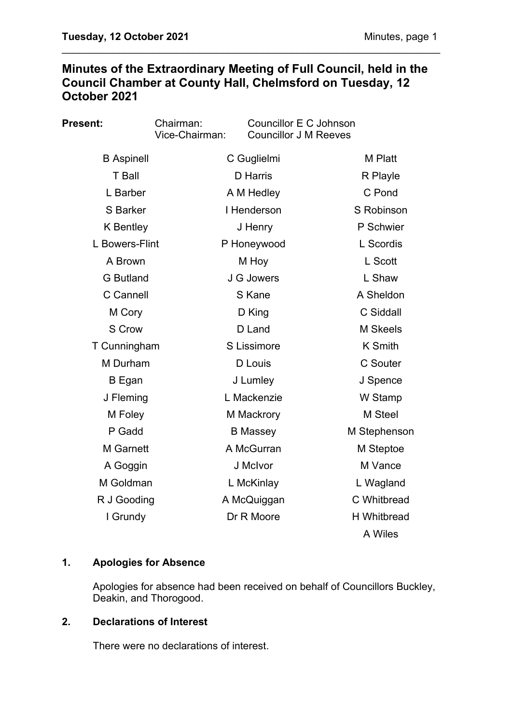# **Minutes of the Extraordinary Meeting of Full Council, held in the Council Chamber at County Hall, Chelmsford on Tuesday, 12 October 2021**

\_\_\_\_\_\_\_\_\_\_\_\_\_\_\_\_\_\_\_\_\_\_\_\_\_\_\_\_\_\_\_\_\_\_\_\_\_\_\_\_\_\_\_\_\_\_\_\_\_\_\_\_\_\_\_\_\_\_\_\_\_\_\_\_\_\_

| <b>Present:</b>   | Chairman:<br>Vice-Chairman: | Councillor E C Johnson<br><b>Councillor J M Reeves</b> |                    |
|-------------------|-----------------------------|--------------------------------------------------------|--------------------|
| <b>B</b> Aspinell | C Guglielmi                 |                                                        | <b>M</b> Platt     |
| <b>T</b> Ball     |                             | D Harris                                               |                    |
| L Barber          |                             | A M Hedley                                             |                    |
| S Barker          |                             | I Henderson                                            | S Robinson         |
| <b>K</b> Bentley  |                             | J Henry                                                | P Schwier          |
| L Bowers-Flint    |                             | P Honeywood                                            | L Scordis          |
| A Brown           |                             | M Hoy                                                  | L Scott            |
| <b>G</b> Butland  |                             | J G Jowers                                             | L Shaw             |
| C Cannell         |                             | S Kane                                                 | A Sheldon          |
| M Cory            |                             | D King                                                 | C Siddall          |
| S Crow            |                             | D Land                                                 | M Skeels           |
| T Cunningham      |                             | S Lissimore                                            | <b>K</b> Smith     |
| M Durham          |                             | D Louis                                                | <b>C</b> Souter    |
| B Egan            |                             | J Lumley                                               | J Spence           |
| J Fleming         |                             | L Mackenzie                                            | W Stamp            |
| M Foley           |                             | M Mackrory                                             | M Steel            |
| P Gadd            |                             | <b>B</b> Massey                                        | M Stephenson       |
| <b>M</b> Garnett  |                             | A McGurran                                             | M Steptoe          |
| A Goggin          |                             | J McIvor                                               | M Vance            |
| M Goldman         |                             | L McKinlay                                             | L Wagland          |
| R J Gooding       |                             | A McQuiggan                                            | C Whitbread        |
| I Grundy          |                             | Dr R Moore                                             | <b>H</b> Whitbread |
|                   |                             |                                                        | A Wiles            |

### **1. Apologies for Absence**

Apologies for absence had been received on behalf of Councillors Buckley, Deakin, and Thorogood.

# **2. Declarations of Interest**

There were no declarations of interest.